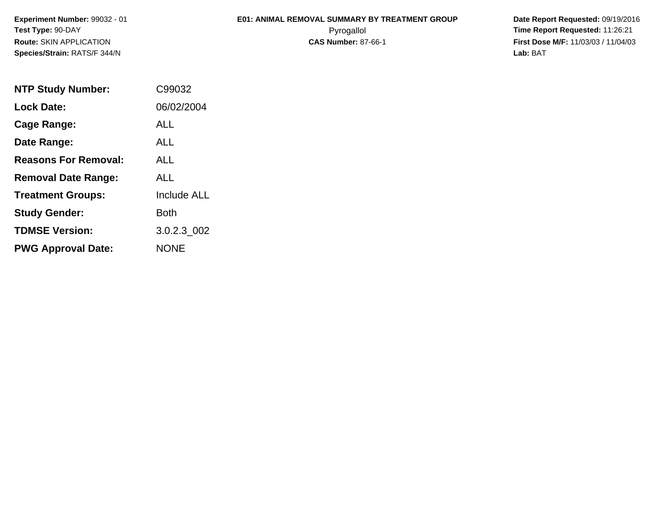**Experiment Number:** 99032 - 01**Test Type:** 90-DAY**Route:** SKIN APPLICATION**Species/Strain:** RATS/F 344/N

## **E01: ANIMAL REMOVAL SUMMARY BY TREATMENT GROUP**

 **Date Report Requested:** 09/19/2016 Pyrogallol **Time Report Requested:** 11:26:21 **First Dose M/F:** 11/03/03 / 11/04/03<br>**Lab:** BAT **Lab:** BAT

| <b>NTP Study Number:</b>    | C99032             |
|-----------------------------|--------------------|
| <b>Lock Date:</b>           | 06/02/2004         |
| Cage Range:                 | ALL                |
| Date Range:                 | AI I               |
| <b>Reasons For Removal:</b> | ALL                |
| <b>Removal Date Range:</b>  | ALL                |
| <b>Treatment Groups:</b>    | <b>Include ALL</b> |
| <b>Study Gender:</b>        | <b>Both</b>        |
| <b>TDMSE Version:</b>       | 3.0.2.3 002        |
| <b>PWG Approval Date:</b>   | <b>NONE</b>        |